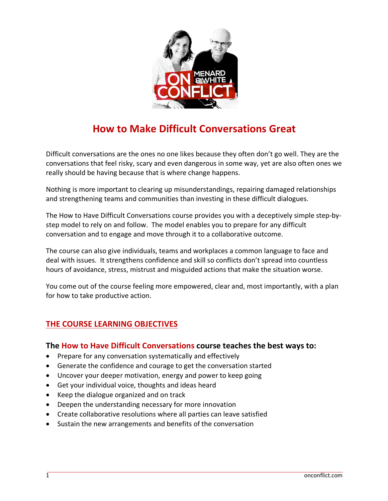

# **How to Make Difficult Conversations Great**

Difficult conversations are the ones no one likes because they often don't go well. They are the conversations that feel risky, scary and even dangerous in some way, yet are also often ones we really should be having because that is where change happens.

Nothing is more important to clearing up misunderstandings, repairing damaged relationships and strengthening teams and communities than investing in these difficult dialogues.

The How to Have Difficult Conversations course provides you with a deceptively simple step-bystep model to rely on and follow. The model enables you to prepare for any difficult conversation and to engage and move through it to a collaborative outcome.

The course can also give individuals, teams and workplaces a common language to face and deal with issues. It strengthens confidence and skill so conflicts don't spread into countless hours of avoidance, stress, mistrust and misguided actions that make the situation worse.

You come out of the course feeling more empowered, clear and, most importantly, with a plan for how to take productive action.

## **THE COURSE LEARNING OBJECTIVES**

#### **The How to Have Difficult Conversations course teaches the best ways to:**

- Prepare for any conversation systematically and effectively
- Generate the confidence and courage to get the conversation started
- Uncover your deeper motivation, energy and power to keep going
- Get your individual voice, thoughts and ideas heard
- Keep the dialogue organized and on track
- Deepen the understanding necessary for more innovation
- Create collaborative resolutions where all parties can leave satisfied
- Sustain the new arrangements and benefits of the conversation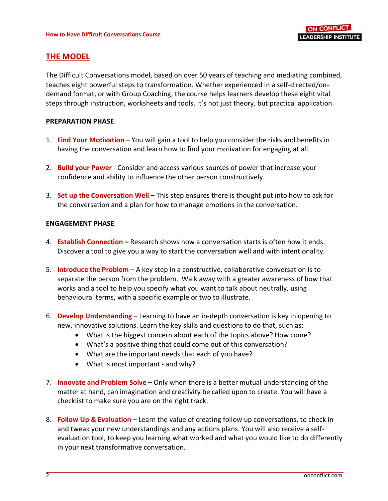## **THE MODEL**

The Difficult Conversations model, based on over 50 years of teaching and mediating combined, teaches eight powerful steps to transformation. Whether experienced in a self-directed/ondemand format, or with Group Coaching, the course helps learners develop these eight vital steps through instruction, worksheets and tools. It's not just theory, but practical application.

#### **PREPARATION PHASE**

- 1. **Find Your Motivation**  You will gain a tool to help you consider the risks and benefits in having the conversation and learn how to find your motivation for engaging at all.
- 2. **Build your Power**  Consider and access various sources of power that increase your confidence and ability to influence the other person constructively.
- 3. **Set up the Conversation Well –** This step ensures there is thought put into how to ask for the conversation and a plan for how to manage emotions in the conversation.

#### **ENGAGEMENT PHASE**

- 4. **Establish Connection –** Research shows how a conversation starts is often how it ends. Discover a tool to give you a way to start the conversation well and with intentionality.
- 5. **Introduce the Problem** A key step in a constructive, collaborative conversation is to separate the person from the problem. Walk away with a greater awareness of how that works and a tool to help you specify what you want to talk about neutrally, using behavioural terms, with a specific example or two to illustrate.
- 6. **Develop Understanding**  Learning to have an in-depth conversation is key in opening to new, innovative solutions. Learn the key skills and questions to do that, such as:
	- What is the biggest concern about each of the topics above? How come?
	- What's a positive thing that could come out of this conversation?
	- What are the important needs that each of you have?
	- What is most important and why?
- 7. **Innovate and Problem Solve –** Only when there is a better mutual understanding of the matter at hand, can imagination and creativity be called upon to create. You will have a checklist to make sure you are on the right track.
- 8. **Follow Up & Evaluation** Learn the value of creating follow up conversations, to check in and tweak your new understandings and any actions plans. You will also receive a selfevaluation tool, to keep you learning what worked and what you would like to do differently in your next transformative conversation.